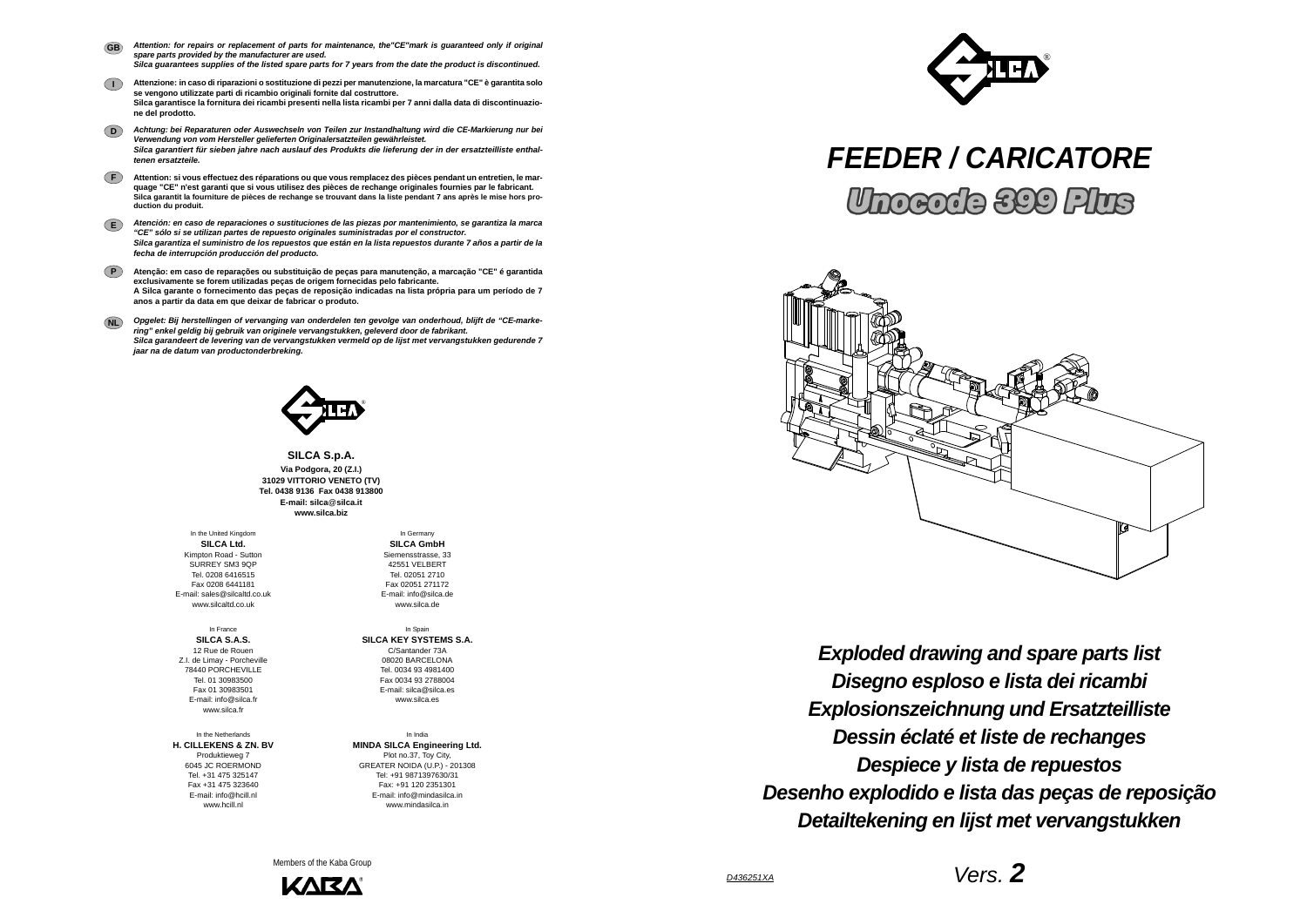*FEEDER / CARICATORE***Unocode 399 Plus** 

*Vers. 2*







**SILCA S.p.A. Via Podgora, 20 (Z.I.) 31029 VITTORIO VENETO (TV) Tel. 0438 9136 Fax 0438 913800E-mail: silca**@**silca.it www.silca.biz**

- *Attention: for repairs or replacement of parts for maintenance, the"CE"mark is guaranteed only if original spare parts provided by the manufacturer are used. Silca guarantees supplies of the listed spare parts for 7 years from the date the product is discontinued.* **GB**
- **I Attenzione: in caso di riparazioni o sostituzione di pezzi per manutenzione, la marcatura "CE" è garantita solo se vengono utilizzate parti di ricambio originali fornite dal costruttore. Silca garantisce la fornitura dei ricambi presenti nella lista ricambi per 7 anni dalla data di discontinuazione del prodotto.**
- **D***Achtung: bei Reparaturen oder Auswechseln von Teilen zur Instandhaltung wird die CE-Markierung nur bei Verwendung von vom Hersteller gelieferten Originalersatzteilen gewährleistet. Silca garantiert für sieben jahre nach auslauf des Produkts die lieferung der in der ersatzteilliste enthaltenen ersatzteile.*
- **F Attention: si vous effectuez des réparations ou que vous remplacez des pièces pendant un entretien, le marquage "CE" n'est garanti que si vous utilisez des pièces de rechange originales fournies par le fabricant. Silca garantit la fourniture de pièces de rechange se trouvant dans la liste pendant 7 ans après le mise hors production du produit.**
- **E***Atención: en caso de reparaciones o sustituciones de las piezas por mantenimiento, se garantiza la marca "CE" sólo si se utilizan partes de repuesto originales suministradas por el constructor. Silca garantiza el suministro de los repuestos que están en la lista repuestos durante 7 años a partir de la fecha de interrupción producción del producto.*
- **PAtenção: em caso de reparações ou substituição de peças para manutenção, a marcação "CE" é garantida exclusivamente se forem utilizadas peças de origem fornecidas pelo fabricante. A Silca garante o fornecimento das peças de reposição indicadas na lista própria para um período de 7 anos a partir da data em que deixar de fabricar o produto.**
- **NL** *Opgelet: Bij herstellingen of vervanging van onderdelen ten gevolge van onderhoud, blijft de "CE-markering" enkel geldig bij gebruik van originele vervangstukken, geleverd door de fabrikant. Silca garandeert de levering van de vervangstukken vermeld op de lijst met vervangstukken gedurende 7 jaar na de datum van productonderbreking.*



In the Netherlands**H. CILLEKENS & ZN. BV** Produktieweg 7 6045 JC ROERMOND Tel. +31 475 325147 Fax +31 475 323640 E-mail: info@hcill.nl www.hcill.nl

In the United Kingdom **SILCA Ltd.** Kimpton Road - Sutton SURREY SM3 9QP Tel. 0208 6416515 Fax 0208 6441181 E-mail: sales@silcaltd.co.uk www.silcaltd.co.uk

In France**SILCA S.A.S.** 12 Rue de Rouen Z.I. de Limay - Porcheville 78440 PORCHEVILLETel. 01 30983500 Fax 01 30983501 E-mail: info@silca.fr www.silca.fr

In Germany

**SILCA GmbH** Siemensstrasse, 33 42551 VELBERTTel. 02051 2710 Fax 02051 271172 E-mail: info@silca.dewww.silca.de

In Spain **SILCA KEY SYSTEMS S.A.** C/Santander 73A 08020 BARCELONA Tel. 0034 93 4981400 Fax 0034 93 2788004 E-mail: silca@silca.es www.silca.es

In India**MINDA SILCA Engineering Ltd.** Plot no.37, Toy City, GREATER NOIDA (U.P.) - 201308 Tel: +91 9871397630/31 Fax: +91 120 2351301 E-mail: info@mindasilca.inwww.mindasilca.in

Members of the Kaba Group



*Disegno esploso e lista dei ricambi Exploded drawing and spare parts list Explosionszeichnung und Ersatzteilliste Dessin éclaté et liste de rechanges Despiece y lista de repuestos Desenho explodido e lista das peças de reposição Detailtekening en lijst met vervangstukken*

*D436251XA*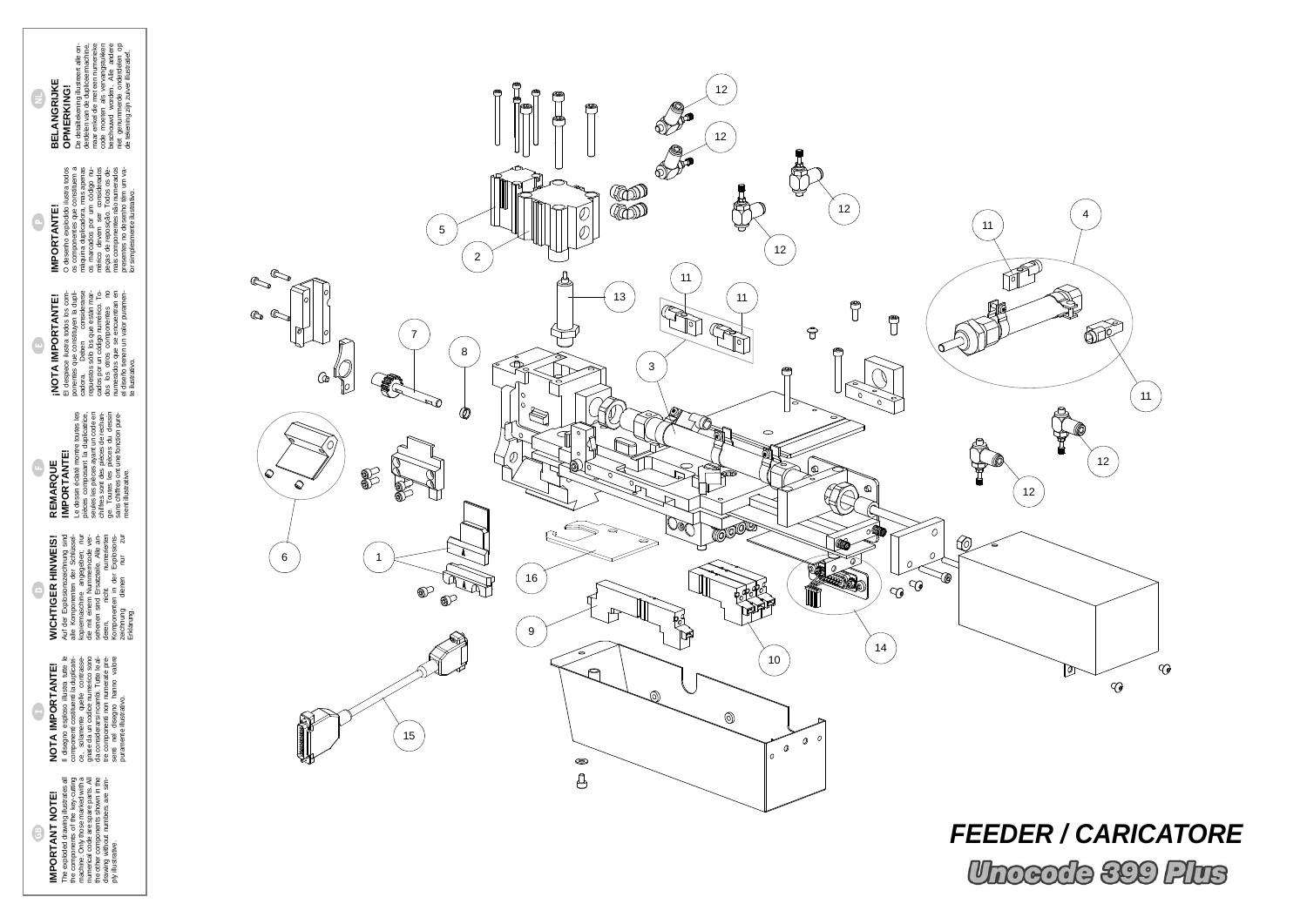II disegno esploso illustra tute le<br>ce, monemi costielle la colpicat-<br>ce, monemi costielle la colpicat-<br>gnate da un codice numerico sono<br>da considerarsi ricambi. Tute le al-<br>da considerarsi ricambi. Tute le al-<br>senti nel d componenti costituenti la duplicatrice, solamente quelle contrassegnate da un codice numerico sono da considerarsi ricambi. Tutte le altre componenti non numerate presenti nel disegno hanno valore puramente illustrativo.

# **IMPORTANT NOTE!** G

**WICHTIGER HINWEIS!** Auf der Explosionszeichnung sind alle Komponenten der Schlüsselkopiermaschine angegeben; nur die mit einem Nummerncode versehenen sind Ersatzteile. Alle anderen, nicht numerierten Komponenten in der Explosionszeichnung dienen nur zur WICHTIGER HINWEIS!<br>Auf der Expensionszeichnung sind<br>alle Komponeisine der Schiüssind<br>kopiermaschine angegeben; nur<br>die mit einem Nummerncode ver-<br>sehenen sind Ersatzeile. Alle an-<br>Komponenten in der Explosions-<br>Zeichnung d

G

### Il disegno esploso illustra tutte le NOTA IMPORTANTE! **NOTA IMPORTANTE!**

**IMPORTANT NOTE!**<br>The exploded drawing illustrates all<br>the components of the key-cutting<br>machine. Only those marked with a<br>marine code are spare parts. All<br>turnerize code are spare parts. All<br>drawing without numbers are si The exploded drawing illustrates all the components of the key-cutting machine. Only those marked with a numerical code are spare parts. All the other components shown in the drawing without numbers are simply illustrative.

## $\bullet$ **REMARQUE**

O desenho explodido ilustra todos os componentes que constituem a máquina duplicadora, mas apenas os marcados por um código numérico devem ser considerados peças de reposição. Todos os demais componentes não numerados presentes no desenho têm um va- $\tilde{\mathbf{g}}$ O desenho exploido ilustra to<br>os componentes que constitue<br>os marcados por un código<br>os mérico devem ser consider<br>mérico devem ser consider<br>pegas de reposição. Todos os<br>pegas de reposição. Todos os<br>presentes no desenho têm **IMPORTANTE!**<br>O desenho explodido ilu **IMPORTANTE!** 들호

**BELANGRIJKE**<br>OPMERKING!<br>De detailtekening illustreert alle on-<br>derdelen van de dupliceermachine,<br>maar enkel die met een numerieke<br>maar enkel die met een numerieke<br>beschouwd worden. Alle andere<br>niet genummerde onderdelen o De detailtekening illustreert alle onderdelen van de dupliceermachine, maar enkel die met een numerieke code moeten als vervangstukken beschouwd worden. Alle andere niet genummerde onderdelen op de tekening zijn zuiver illustratief. **OPMERKING!**

dos los otros componentes no numerados que se encuentran en el diseño tienen un valor puramente ilustrativo.  $REMARK AQUE  
\nIMPORT ANTE!   
\n $e$ lessin écdate much ounces less  
\n $e$ lessin écdate in the values less  
\n $e$ seusles in éedate in the values less  
\n $e$ seules in the  $e$  in the  $e$  of  $e$  in  $e$  of  $e$  in  $e$  of  $e$  in  $e$  of  $e$  in  $e$  of  $e$  in <$ Le dessin éclaté montre toutes les pièces composant la duplicatrice, seules les pièces ayant un code en chiffres sont des pièces de rechange. Toutes les pièces du dessin sans chiffres ont une fonction pure-**IMPORTANTE!** ment illustrative.

#### **INOTA IMPORTANTE!**<br>El despiece ilustra todos los com-<br>ponentes que constituyen la dupli-<br>ponentes que constituyen la dupli-<br>repuestos sólo los que están mar-<br>cados por un código numérico. To-<br>dos los que somponentes no<br>di El despiece ilustra todos los componentes que constituyen la duplicadora. Deben considerarse repuestos sólo los que están marcados por un código numérico. To-**¡NOTA IMPORTANTE!**  $\bigcirc$

lor simplesmente ilustrativo.

**BELANGRIJKE**

 $\bigoplus$ 

 $\bigodot$